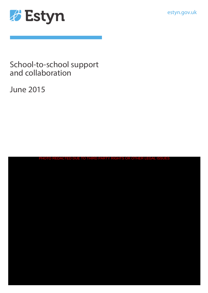estyn.gov.uk



# School-to-school support and collaboration

June 2015

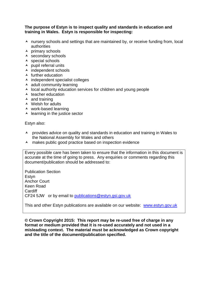#### **The purpose of Estyn is to inspect quality and standards in education and training in Wales. Estyn is responsible for inspecting:**

- $\lambda$  nursery schools and settings that are maintained by, or receive funding from, local authorities
- $\overline{\phantom{a}}$  primary schools
- $\overline{\phantom{a}}$  secondary schools
- $\triangle$  special schools
- $\lambda$  pupil referral units
- $\overline{\phantom{a}}$  independent schools
- $\overline{\phantom{a}}$  further education
- $\lambda$  independent specialist colleges
- $\triangle$  adult community learning
- $\lambda$  local authority education services for children and young people
- $\overline{\phantom{a}}$  teacher education
- $\lambda$  and training
- $\triangle$  Welsh for adults
- work-based learning
- $\overline{\phantom{a}}$  learning in the justice sector

Estyn also:

- A provides advice on quality and standards in education and training in Wales to the National Assembly for Wales and others
- $\lambda$  makes public good practice based on inspection evidence

Every possible care has been taken to ensure that the information in this document is accurate at the time of going to press. Any enquiries or comments regarding this document/publication should be addressed to:

Publication Section **Estvn** Anchor Court Keen Road **Cardiff** CF24 5JW or by email to [publications@estyn.gsi.gov.uk](mailto:publications@estyn.gsi.gov.uk)

This and other Estyn publications are available on our website: [www.estyn.gov.uk](http://www.estyn.gov.uk/)

**© Crown Copyright 2015: This report may be re-used free of charge in any format or medium provided that it is re-used accurately and not used in a misleading context. The material must be acknowledged as Crown copyright and the title of the document/publication specified.**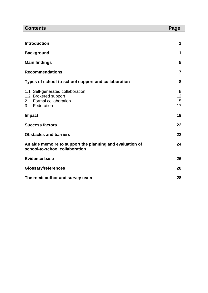| <b>Contents</b>                                                                             |                                                                                                | Page                |
|---------------------------------------------------------------------------------------------|------------------------------------------------------------------------------------------------|---------------------|
|                                                                                             |                                                                                                |                     |
| <b>Introduction</b>                                                                         |                                                                                                | 1                   |
| <b>Background</b>                                                                           |                                                                                                | 1                   |
| <b>Main findings</b>                                                                        |                                                                                                | 5                   |
| <b>Recommendations</b>                                                                      |                                                                                                |                     |
| Types of school-to-school support and collaboration                                         |                                                                                                | 8                   |
| $\mathbf{2}$<br>3 <sup>1</sup>                                                              | 1.1 Self-generated collaboration<br>1.2 Brokered support<br>Formal collaboration<br>Federation | 8<br>12<br>15<br>17 |
| <b>Impact</b>                                                                               |                                                                                                | 19                  |
| <b>Success factors</b>                                                                      |                                                                                                | 22                  |
| <b>Obstacles and barriers</b>                                                               |                                                                                                | 22                  |
| An aide memoire to support the planning and evaluation of<br>school-to-school collaboration |                                                                                                | 24                  |
| <b>Evidence base</b>                                                                        |                                                                                                | 26                  |
| <b>Glossary/references</b>                                                                  |                                                                                                | 28                  |
| The remit author and survey team                                                            |                                                                                                | 28                  |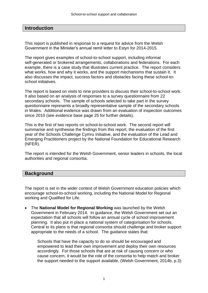# **Introduction**

This report is published in response to a request for advice from the Welsh Government in the Minister's annual remit letter to Estyn for 2014-2015.

The report gives examples of school-to-school support, including informal self-generated or brokered arrangements, collaborations and federations. For each example, there is a case study that illustrates current practice. The report considers what works, how and why it works, and the support mechanisms that sustain it. It also discusses the impact, success factors and obstacles facing these school-toschool initiatives.

The report is based on visits to nine providers to discuss their school-to-school work. It also based on an analysis of responses to a survey questionnaire from 22 secondary schools. The sample of schools selected to take part in the survey questionnaire represents a broadly representative sample of the secondary schools in Wales. Additional evidence was drawn from an evaluation of inspection outcomes since 2010 (see evidence base page 25 for further details).

This is the first of two reports on school-to-school work. The second report will summarise and synthesise the findings from this report, the evaluation of the first year of the Schools Challenge Cymru initiative, and the evaluation of the Lead and Emerging Practitioners project by the National Foundation for Educational Research (NFER).

The report is intended for the Welsh Government, senior leaders in schools, the local authorities and regional consortia.

#### **Background**

The report is set in the wider context of Welsh Government education policies which encourage school-to-school working, including the National Model for Regional working and Qualified for Life.

 The **National Model for Regional Working** was launched by the Welsh Government in February 2014. In guidance, the Welsh Government set out an expectation that all schools will follow an annual cycle of school improvement planning. It also put in place a national system of categorisation for schools. Central to its plans is that regional consortia should challenge and broker support appropriate to the needs of a school. The guidance states that:

Schools that have the capacity to do so should be encouraged and empowered to lead their own improvement and deploy their own resources accordingly. For those schools that are at risk of causing concern or who cause concern, it would be the role of the consortia to help match and broker the support needed to the support available, (Welsh Government, 2014b, p.3).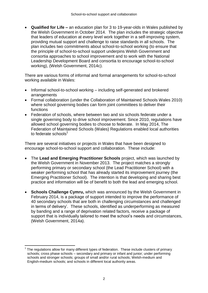**Qualified for Life –** an education plan for 3 to 19-year-olds in Wales published by the Welsh Government in October 2014.The plan includes the strategic objective that leaders of education at every level work together in a self-improving system, providing mutual support and challenge to raise standards in all schools. The plan includes two commitments about school-to-school working (to ensure that the principle of school-to-school support underpins Welsh Government and consortia approaches to school improvement and to work with the National Leadership Development Board and consortia to encourage school-to-school working), (Welsh Government, 2014c).

There are various forms of informal and formal arrangements for school-to-school working available in Wales:

- Informal school-to-school working including self-generated and brokered arrangements
- Formal collaboration (under the Collaboration of Maintained Schools Wales 2010) where school governing bodies can form joint committees to deliver their functions
- Federation of schools, where between two and six schools federate under a single governing body to drive school improvement. Since 2010, regulations have allowed school governing bodies to choose to federate. In May 2014, The Federation of Maintained Schools (Wales) Regulations enabled local authorities to federate schools<sup>1</sup>

There are several initiatives or projects in Wales that have been designed to encourage school-to-school support and collaboration. These include:

- The **Lead and Emerging Practitioner Schools** project, which was launched by the Welsh Government in November 2013. The project matches a strongly performing primary or secondary school (the Lead Practitioner School) with a weaker performing school that has already started its improvement journey (the Emerging Practitioner School). The intention is that developing and sharing best practice and information will be of benefit to both the lead and emerging school.
- **Schools Challenge Cymru,** which was announced by the Welsh Government in February 2014, is a package of support intended to improve the performance of 40 secondary schools that are both in challenging circumstances and challenged in terms of delivery'. These schools, identified as underperforming as measured by banding and a range of deprivation related factors, receive a package of support that is individually tailored to meet the school's needs and circumstances, (Welsh Government, 2014a).

 $\overline{a}$ 1 The regulations allow for many different types of federation. These include clusters of primary schools; cross phase schools – secondary and primary or infant and junior; under performing schools and stronger schools; groups of small and/or rural schools; Welsh-medium and English-medium schools; and schools in different local authority areas.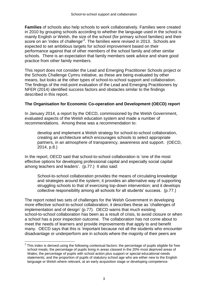**Families** of schools also help schools to work collaboratively. Families were created in 2010 by grouping schools according to whether the language used in the school is mainly English or Welsh, the size of the school (for primary school families) and their score on an 'index of challenge'<sup>2</sup>. The families were revised in 2013. Schools are expected to set ambitious targets for school improvement based on their performance against that of other members of the school family and other similar schools. There is an expectation that family members seek advice and share good practice from other family members.

This report does not consider the Lead and Emerging Practitioner Schools project or the Schools Challenge Cymru initiative, as these are being evaluated by other means, but looks at the other types of school-to-school support and collaboration. The findings of the mid-point evaluation of the Lead and Emerging Practitioners by NFER (2014) identified success factors and obstacles similar to the findings described in this report.

#### **The Organisation for Economic Co-operation and Development (OECD) report**

In January 2014, a report by the OECD, commissioned by the Welsh Government, evaluated aspects of the Welsh education system and made a number of recommendations. Among these was a recommendation to:

develop and implement a Welsh strategy for school-to-school collaboration, creating an architecture which encourages schools to select appropriate partners, in an atmosphere of transparency, awareness and support. (OECD, 2014, p.8.)

In the report, OECD said that school-to-school collaboration is 'one of the most effective options for developing professional capital and especially social capital among teachers and leaders'. (p.77.) It also said:

School-to-school collaboration provides the means of circulating knowledge and strategies around the system; it provides an alternative way of supporting struggling schools to that of exercising top-down intervention; and it develops collective responsibility among all schools for all students' success. (p.77.)

The report noted two sets of challenges for the Welsh Government in developing more effective school-to-school collaboration; it describes these as 'challenges of implementation and of design' (p.77). OECD warns that much existing school-to-school collaboration has been as a result of crisis, to avoid closure or when a school has a poor inspection outcome. The collaboration has not come about to meet the needs of learners and provide improvements that apply to and benefit many. OECD says that this is 'important because not all the students who encounter disadvantage or underperform are in schools where the majority of their peers are

 $\overline{a}$ 

 $2$  This index is derived using the following contextual factors: the percentage of pupils eligible for free school meals; the percentage of pupils living in areas classed in the 20% most deprived areas of Wales; the percentage of pupils with school action plus support or special educational needs statements; and the proportion of pupils of statutory school age who are either new to the English language or Welsh where relevant, at an early acquisition stage or developing competence.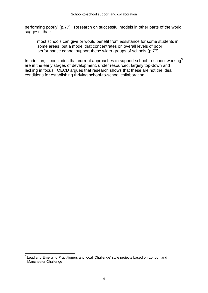performing poorly' (p.77). Research on successful models in other parts of the world suggests that:

most schools can give or would benefit from assistance for some students in some areas, but a model that concentrates on overall levels of poor performance cannot support these wider groups of schools (p.77).

In addition, it concludes that current approaches to support school-to-school working<sup>3</sup> are in the early stages of development, under resourced, largely top-down and lacking in focus. OECD argues that research shows that these are not the ideal conditions for establishing thriving school-to-school collaboration.

 $\overline{a}$ 

 $3$  Lead and Emerging Practitioners and local 'Challenge' style projects based on London and Manchester Challenge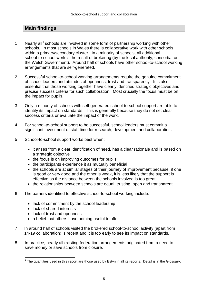# **Main findings**

- 1 Nearly all<sup>4</sup> schools are involved in some form of partnership working with other schools. In most schools in Wales there is collaborative work with other schools within a primary/secondary cluster. In a minority of schools, all additional school-to-school work is the result of brokering (by the local authority, consortia, or the Welsh Government). Around half of schools have other school-to-school working arrangements that are self-generated.
- 2 Successful school-to-school working arrangements require the genuine commitment of school leaders and attitudes of openness, trust and transparency. It is also essential that those working together have clearly identified strategic objectives and precise success criteria for such collaboration. Most crucially the focus must be on the impact for pupils.
- 3 Only a minority of schools with self-generated school-to-school support are able to identify its impact on standards. This is generally because they do not set clear success criteria or evaluate the impact of the work.
- 4 For school-to-school support to be successful, school leaders must commit a significant investment of staff time for research, development and collaboration.
- 5 School-to-school support works best when:
	- it arises from a clear identification of need, has a clear rationale and is based on a strategic objective
	- the focus is on improving outcomes for pupils
	- the participants experience it as mutually beneficial
	- the schools are at similar stages of their journey of improvement because, if one is good or very good and the other is weak, it is less likely that the support is effective as the distance between the schools involved is too great
	- the relationships between schools are equal, trusting, open and transparent
- 6 The barriers identified to effective school-to-school working include:
	- lack of commitment by the school leadership
	- lack of shared interests

 $\overline{a}$ 

- lack of trust and openness
- a belief that others have nothing useful to offer
- 7 In around half of schools visited the brokered school-to-school activity (apart from 14-19 collaboration) is recent and it is too early to see its impact on standards.
- 8 In practice, nearly all existing federation arrangements originated from a need to save money or save schools from closure.

 $4$  The quantities used in this report are those used by Estyn in all its reports. Detail is in the Glossary.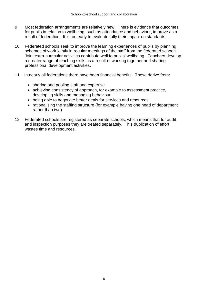- 9 Most federation arrangements are relatively new. There is evidence that outcomes for pupils in relation to wellbeing, such as attendance and behaviour, improve as a result of federation. It is too early to evaluate fully their impact on standards.
- 10 Federated schools seek to improve the learning experiences of pupils by planning schemes of work jointly in regular meetings of the staff from the federated schools. Joint extra-curricular activities contribute well to pupils' wellbeing. Teachers develop a greater range of teaching skills as a result of working together and sharing professional development activities.
- 11 In nearly all federations there have been financial benefits. These derive from:
	- sharing and pooling staff and expertise
	- achieving consistency of approach, for example to assessment practice, developing skills and managing behaviour
	- being able to negotiate better deals for services and resources
	- rationalising the staffing structure (for example having one head of department rather than two)
- 12 Federated schools are registered as separate schools, which means that for audit and inspection purposes they are treated separately. This duplication of effort wastes time and resources.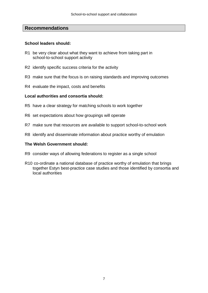#### **Recommendations**

#### **School leaders should:**

- R1 be very clear about what they want to achieve from taking part in school-to-school support activity
- R2 identify specific success criteria for the activity
- R3 make sure that the focus is on raising standards and improving outcomes
- R4 evaluate the impact, costs and benefits

#### **Local authorities and consortia should:**

- R5 have a clear strategy for matching schools to work together
- R6 set expectations about how groupings will operate
- R7 make sure that resources are available to support school-to-school work
- R8 identify and disseminate information about practice worthy of emulation

#### **The Welsh Government should:**

- R9 consider ways of allowing federations to register as a single school
- R10 co-ordinate a national database of practice worthy of emulation that brings together Estyn best-practice case studies and those identified by consortia and local authorities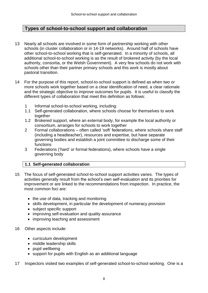# **Types of school-to-school support and collaboration**

- 13 Nearly all schools are involved in some form of partnership working with other schools (in cluster collaboration or in 14-19 networks). Around half of schools have other school-to-school working that is self-generated. In a minority of schools, all additional school-to-school working is as the result of brokered activity (by the local authority, consortia, or the Welsh Government). A very few schools do not work with schools other than their partner primary schools and this work is mostly about pastoral transition.
- 14 For the purpose of this report, school-to-school support is defined as when two or more schools work together based on a clear identification of need, a clear rationale and the strategic objective to improve outcomes for pupils. It is useful to classify the different types of collaboration that meet this definition as follows:
	- 1 Informal school-to-school working, including:
	- 1.1 Self-generated collaboration, where schools choose for themselves to work together
	- 1.2 Brokered support, where an external body, for example the local authority or consortium, arranges for schools to work together
	- 2 Formal collaborations often called 'soft' federations, where schools share staff (including a headteacher), resources and expertise, but have separate governing bodies and establish a joint committee to discharge some of their functions
	- 3 Federations ('hard' or formal federations), where schools have a single governing body

#### **1.1 Self-generated collaboration**

- 15 The focus of self-generated school-to-school support activities varies. The types of activities generally result from the school's own self-evaluation and its priorities for improvement or are linked to the recommendations from inspection. In practice, the most common foci are:
	- $\bullet$  the use of data, tracking and monitoring
	- skills development, in particular the development of numeracy provision
	- subject specific support
	- improving self-evaluation and quality assurance
	- improving teaching and assessment
- 16 Other aspects include:
	- curriculum development
	- middle leadership skills
	- pupil wellbeing
	- support for pupils with English as an additional language
- 17 Inspectors visited two examples of self-generated school-to-school working. One is a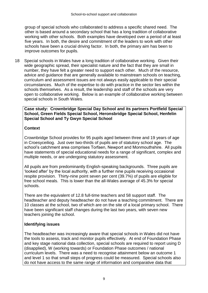group of special schools who collaborated to address a specific shared need. The other is based around a secondary school that has a long tradition of collaborative working with other schools. Both examples have developed over a period of at least five years. In both, the desire and commitment of the leaders to work with other schools have been a crucial driving factor. In both, the primary aim has been to improve outcomes for pupils.

18 Special schools in Wales have a long tradition of collaborative working. Given their wide geographic spread, their specialist nature and the fact that they are small in number, they have felt a greater need to support each other. Much of the resource, advice and guidance that are generally available to mainstream schools on teaching, curriculum and assessment issues are not always easily applicable to their special circumstances. Much of the expertise to do with practice in the sector lies within the schools themselves. As a result, the leadership and staff of the schools are very open to collaborative working. Below is an example of collaborative working between special schools in South Wales.

**Case study: Crownbridge Special Day School and its partners Portfield Special School, Green Fields Special School, Heronsbridge Special School, Henfelin Special School and Ty Gwyn Special School**

#### **Context**

Crownbridge School provides for 95 pupils aged between three and 19 years of age in Croesyceiliog. Just over two-thirds of pupils are of statutory school age. The school's catchment area comprises Torfaen, Newport and Monmouthshire. All pupils have statements of special educational needs for a range of significant, complex and multiple needs, or are undergoing statutory assessment.

All pupils are from predominantly English-speaking backgrounds. Three pupils are 'looked after' by the local authority, with a further nine pupils receiving occasional respite provision. Thirty-nine point seven per cent (39.7%) of pupils are eligible for free school meals. This is lower than the all-Wales average of 45.3% for special schools.

There are the equivalent of 12.8 full-time teachers and 58 support staff. The headteacher and deputy headteacher do not have a teaching commitment. There are 10 classes at the school, two of which are on the site of a local primary school. There have been significant staff changes during the last two years, with seven new teachers joining the school.

# **Identifying issues**

The headteacher was increasingly aware that special schools in Wales did not have the tools to assess, track and monitor pupils effectively. At end of Foundation Phase and key stage national data collection, special schools are required to report using D (disapplied), W (working towards) or Foundation Phase outcomes / national curriculum levels. There was a need to recognise attainment below an outcome 1 and level 1 so that small steps of progress could be measured. Special schools also do not have access to the same range of information and comparative data that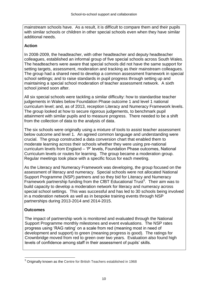mainstream schools have. As a result, it is difficult to compare them and their pupils with similar schools or children in other special schools even when they have similar additional needs.

#### **Action**

In 2008-2009, the headteacher, with other headteacher and deputy headteacher colleagues, established an informal group of five special schools across South Wales. The headteachers were aware that special schools did not have the same support for setting targets, assessment, moderation and tracking as their mainstream colleagues. The group had a shared need to develop a common assessment framework in special school settings; and to raise standards in pupil progress through setting up and maintaining a special school moderation of teacher assessment network. A sixth school joined soon after.

All six special schools were tackling a similar difficulty: how to standardise teacher judgements in Wales below Foundation Phase outcome 1 and level 1 national curriculum level; and, as of 2013, reception Literacy and Numeracy Framework levels. The group looked at how to secure rigorous judgements, to benchmark pupil attainment with similar pupils and to measure progress. There needed to be a shift from the collection of data to the analysis of data.

The six schools were originally using a mixture of tools to assist teacher assessment below outcome and level 1. An agreed common language and understanding were crucial. The group constructed a data conversion chart that enabled them to moderate learning across their schools whether they were using pre-national curriculum levels from England – 'P' levels, Foundation Phase outcomes, National Curriculum levels or routes for learning. The group became a moderation group. Regular meetings took place with a specific focus for each meeting.

As the Literacy and Numeracy Framework was developing, the group focused on the assessment of literacy and numeracy. Special schools were not allocated National Support Programme (NSP) partners and so they bid for Literacy and Numeracy Framework partnership funding from the CfBT Educational Trust<sup>5</sup>. Their aim was to build capacity to develop a moderation network for literacy and numeracy across special school settings. This was successful and has led to 30 schools being involved in a moderation network as well as in bespoke training events through NSP partnerships during 2013-2014 and 2014-2015.

#### **Outcomes**

The impact of partnership work is monitored and evaluated through the National Support Programme monthly milestones and event evaluations. The NSP rates progress using 'RAG rating' on a scale from red (meaning most in need of development and support) to green (meaning progress is good). The ratings for Crownbridge moved from red to green over two years. Evaluation also found high levels of confidence among staff in their assessment of pupils' skills.

 $\overline{a}$ <sup>5</sup> Originally known as the Centre for British Teachers established in 1968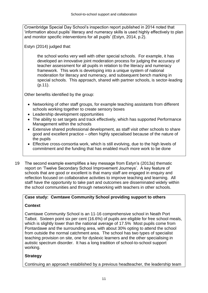Crownbridge Special Day School's inspection report published in 2014 noted that 'information about pupils' literacy and numeracy skills is used highly effectively to plan and monitor specific interventions for all pupils' (Estyn, 2014, p.2).

Estyn (2014) judged that:

the school works very well with other special schools. For example, it has developed an innovative joint moderation process for judging the accuracy of teacher assessment for all pupils in relation to the literacy and numeracy framework. This work is developing into a unique system of national moderation for literacy and numeracy, and subsequent bench marking in special schools. This approach, shared with partner schools, is sector-leading (p.11).

Other benefits identified by the group:

- Networking of other staff groups, for example teaching assistants from different schools working together to create sensory boxes
- Leadership development opportunities
- The ability to set targets and track effectively, which has supported Performance Management within the schools
- Extensive shared professional development, as staff visit other schools to share good and excellent practice – often highly specialised because of the nature of the pupils
- Effective cross-consortia work, which is still evolving, due to the high levels of commitment and the funding that has enabled much more work to be done
- 19 The second example exemplifies a key message from Estyn's (2013a) thematic report on 'Twelve Secondary School Improvement Journeys'. A key feature of schools that are good or excellent is that many staff are engaged in enquiry and reflection focused on collaborative activities to improve teaching and learning. All staff have the opportunity to take part and outcomes are disseminated widely within the school communities and through networking with teachers in other schools.

# **Case study: Cwmtawe Community School providing support to others**

# **Context**

Cwmtawe Community School is an 11-16 comprehensive school in Neath Port Talbot. Sixteen point six per cent (16.6%) of pupils are eligible for free school meals, which is slightly lower than the national average of 17.5% Most pupils come from Pontardawe and the surrounding area, with about 30% opting to attend the school from outside the normal catchment area. The school has two types of specialist teaching provision on site, one for dyslexic learners and the other specialising in autistic spectrum disorder. It has a long tradition of school-to-school support working.

# **Strategy**

Continuing an approach established by a previous headteacher, the leadership team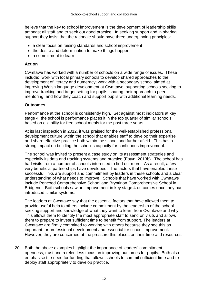believe that the key to school improvement is the development of leadership skills amongst all staff and to seek out good practice. In seeking support and in sharing support they insist that the rationale should have three underpinning principles:

- a clear focus on raising standards and school improvement
- the desire and determination to make things happen
- a commitment to learn

#### **Action**

Cwmtawe has worked with a number of schools on a wide range of issues. These include: work with local primary schools to develop shared approaches to the development of literacy and numeracy; work with a secondary school aimed at improving Welsh language development at Cwmtawe; supporting schools seeking to improve tracking and target setting for pupils; sharing their approach to peer mentoring; and how they coach and support pupils with additional learning needs.

#### **Outcomes**

Performance at the school is consistently high. Set against most indicators at key stage 4, the school is performance places it in the top quarter of similar schools based on eligibility for free school meals for the past three years.

At its last inspection in 2012, it was praised for the well-established professional development culture within the school that enables staff to develop their expertise and share effective practice both within the school and further afield. This has a strong impact on building the school's capacity for continuous improvement.

The school was invited to present a case study on its assessment strategies and especially its data and tracking systems and practice (Estyn, 2013b). The school has had visits from a number of schools interested to find out more. As a result, a few very beneficial partnerships have developed. The factors that have enabled these successful links are support and commitment by leaders in these schools and a clear understanding of what needs to improve. Schools that have worked with Cwmtawe include Pencoed Comprehensive School and Bryntirion Comprehensive School in Bridgend. Both schools saw an improvement in key stage 4 outcomes once they had introduced similar systems.

The leaders at Cwmtawe say that the essential factors that have allowed them to provide useful help to others include commitment by the leadership of the school seeking support and knowledge of what they want to learn from Cwmtawe and why. This allows them to identify the most appropriate staff to send on visits and allows them to prepare to invest sufficient time to benefit from support. The leaders at Cwmtawe are firmly committed to working with others because they see this as important for professional development and essential for school improvement. However, they are concerned at the pressure this places on their time and resources.

20 Both the above examples highlight the importance of leaders' commitment, openness, trust and a relentless focus on improving outcomes for pupils. Both also emphasise the need for funding that allows schools to commit sufficient time and to deploy staff appropriately to develop practice.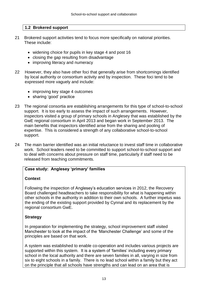#### **1.2 Brokered support**

- 21 Brokered support activities tend to focus more specifically on national priorities. These include:
	- widening choice for pupils in key stage 4 and post 16
	- closing the gap resulting from disadvantage
	- improving literacy and numeracy
- 22 However, they also have other foci that generally arise from shortcomings identified by local authority or consortium activity and by inspection. These foci tend to be expressed more vaguely and include:
	- improving key stage 4 outcomes
	- sharing 'good' practice
- 23 The regional consortia are establishing arrangements for this type of school-to-school support. It is too early to assess the impact of such arrangements. However, inspectors visited a group of primary schools in Anglesey that was established by the GwE regional consortium in April 2013 and began work in September 2013. The main benefits that inspectors identified arise from the sharing and pooling of expertise. This is considered a strength of any collaborative school-to-school support.
- 24 The main barrier identified was an initial reluctance to invest staff time in collaborative work. School leaders need to be committed to support school-to-school support and to deal with concerns about pressure on staff time, particularly if staff need to be released from teaching commitments.

# **Case study: Anglesey 'primary' families**

#### **Context**

Following the inspection of Anglesey's education services in 2012, the Recovery Board challenged headteachers to take responsibility for what is happening within other schools in the authority in addition to their own schools. A further impetus was the ending of the existing support provided by Cynnal and its replacement by the regional consortium GwE.

#### **Strategy**

In preparation for implementing the strategy, school improvement staff visited Manchester to look at the impact of the 'Manchester Challenge' and some of the principles are based on that work.

A system was established to enable co-operation and includes various projects are supported within this system. It is a system of 'families' including every primary school in the local authority and there are seven families in all, varying in size from six to eight schools in a family. There is no lead school within a family but they act on the principle that all schools have strengths and can lead on an area that is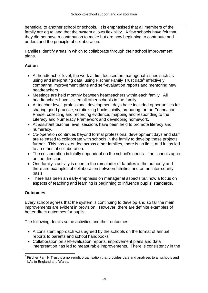beneficial to another school or schools. It is emphasised that all members of the family are equal and that the system allows flexibility. A few schools have felt that they did not have a contribution to make but are now beginning to contribute and understand the principle of collaboration.

Families identify areas in which to collaborate through their school improvement plans.

# **Action**

- At headteacher level, the work at first focused on managerial issues such as using and interpreting data, using Fischer Family Trust data<sup>6</sup> effectively, comparing improvement plans and self-evaluation reports and mentoring new headteachers.
- Meetings are held monthly between headteachers within each family. All headteachers have visited all other schools in the family.
- At teacher level, professional development days have included opportunities for sharing good practice, scrutinising books jointly, preparing for the Foundation Phase, collecting and recording evidence, mapping and responding to the Literacy and Numeracy Framework and developing homework.
- At assistant teacher level, sessions have been held to promote literacy and numeracy.
- Co-operation continues beyond formal professional development days and staff are released to collaborate with schools in the family to develop these projects further. This has extended across other families, there is no limit, and it has led to an ethos of collaboration.
- The collaboration is totally dependent on the school's needs the schools agree on the direction.
- One family's activity is open to the remainder of families in the authority and there are examples of collaboration between families and on an inter-county basis.
- There has been an early emphasis on managerial aspects but now a focus on aspects of teaching and learning is beginning to influence pupils' standards.

# **Outcomes**

Every school agrees that the system is continuing to develop and so far the main improvements are evident in provision. However, there are definite examples of better direct outcomes for pupils.

The following details some activities and their outcomes:

- A consistent approach was agreed by the schools on the format of annual reports to parents and school handbooks.
- Collaboration on self-evaluation reports, improvement plans and data interpretation has led to measurable improvements. There is consistency in the

 $\overline{a}$ 6 Fischer Family Trust is a non-profit organisation that provides data and analyses to all schools and LAs in England and Wales.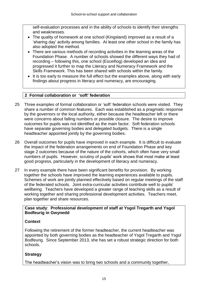self-evaluation processes and in the ability of schools to identify their strengths and weaknesses.

- The quality of homework at one school (Kingsland) improved as a result of a 'sharing day' activity among families. At least one other school in the family has also adopted the method.
- There are various methods of recording activities in the learning areas of the Foundation Phase. A number of schools showed the different ways they had of recording – following this, one school (Esceifiog) developed an idea and progressed it further to map the Literacy and Numeracy Framework and the Skills Framework. This has been shared with schools within the family.
- It is too early to measure the full effect but the examples above, along with early findings about progress in literacy and numeracy, are encouraging.

#### **2 Formal collaboration or 'soft' federation**

- 25 Three examples of formal collaboration or 'soft' federation schools were visited. They share a number of common features. Each was established as a pragmatic response by the governors or the local authority, either because the headteacher left or there were concerns about falling numbers or possible closure. The desire to improve outcomes for pupils was not identified as the main factor. Soft federation schools have separate governing bodies and delegated budgets. There is a single headteacher appointed jointly by the governing bodies.
- 26 Overall outcomes for pupils have improved in each example. It is difficult to evaluate the impact of the federation arrangements on end of Foundation Phase and key stage 2 outcomes because of the nature of the cohorts, which often have very small numbers of pupils. However, scrutiny of pupils' work shows that most make at least good progress, particularly in the development of literacy and numeracy.
- 27 In every example there have been significant benefits for provision. By working together the schools have improved the learning experiences available to pupils. Schemes of work are jointly planned effectively based on regular meetings of the staff of the federated schools. Joint extra-curricular activities contribute well to pupils' wellbeing. Teachers have developed a greater range of teaching skills as a result of working together and sharing professional development activities. Teachers meet, plan together and share resources.

#### **Case study**: **Professional development of staff at Ysgol Tregarth and Ysgol Bodfeurig in Gwynedd**

# **Context**

Following the retirement of the former headteacher, the current headteacher was appointed by both governing bodies as the headteacher of Ysgol Tregarth and Ysgol Bodfeurig. Since September 2013, she has set a robust strategic direction for both schools.

# **Strategy**

The headteacher's vision was to bring two schools and a community together,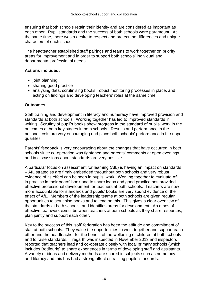ensuring that both schools retain their identity and are considered as important as each other. Pupil standards and the success of both schools were paramount. At the same time, there was a desire to respect and protect the differences and unique characters of each school.

The headteacher established staff pairings and teams to work together on priority areas for improvement and in order to support both schools' individual and departmental professional needs.

# **Actions included:**

- joint planning
- sharing good practice
- analysing data, scrutinising books, robust monitoring processes in place, and acting on findings and developing teachers' roles at the same time

#### **Outcomes**

Staff training and development in literacy and numeracy have improved provision and standards at both schools. Working together has led to improved standards in writing. Scrutiny of pupil's books show progress in the standard of pupils' work in the outcomes at both key stages in both schools. Results and performance in the national tests are very encouraging and place both schools' performance in the upper quartiles.

Parents' feedback is very encouraging about the changes that have occurred in both schools since co-operation was tightened and parents' comments at open evenings and in discussions about standards are very positive.

A particular focus on assessment for learning (AfL) is having an impact on standards – AfL strategies are firmly embedded throughout both schools and very robust evidence of its effect can be seen in pupils' work. Working together to evaluate AfL in practice in their peers' book and to share ideas and good practice has provided effective professional development for teachers at both schools. Teachers are now more accountable for standards and pupils' books are very sound evidence of the effect of AfL. Members of the leadership teams at both schools are given regular opportunities to scrutinise books and to lead on this. This gives a clear overview of the standards at both schools, and identifies areas for development. An ethos of effective teamwork exists between teachers at both schools as they share resources, plan jointly and support each other.

Key to the success of this 'soft' federation has been the attitude and commitment of staff at both schools. They value the opportunities to work together and support each other and the headteacher for the benefit of the wellbeing of children at both schools and to raise standards. Tregarth was inspected in November 2013 and inspectors reported that teachers lead and co-operate closely with local primary schools (which includes Bodfeurig) to share experiences in terms of developing staff and assistants. A variety of ideas and delivery methods are shared in subjects such as numeracy and literacy and this has had a strong effect on raising pupils' standards.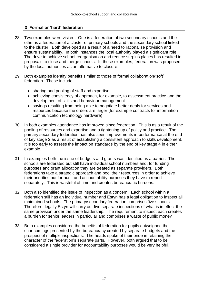#### **3 Formal or 'hard' federation**

- 28 Two examples were visited. One is a federation of two secondary schools and the other is a federation of a cluster of primary schools and the secondary school linked to the cluster. Both developed as a result of a need to rationalise provision and ensure sustainability. In both instances the local authority played a significant role. The drive to achieve school reorganisation and reduce surplus places has resulted in proposals to close and merge schools. In these examples, federation was proposed by the local authorities as an alternative to closure.
- 29 Both examples identify benefits similar to those of formal collaboration/'soft' federation. These include:
	- sharing and pooling of staff and expertise
	- achieving consistency of approach, for example, to assessment practice and the development of skills and behaviour management
	- savings resulting from being able to negotiate better deals for services and resources because the orders are larger (for example contracts for information communication technology hardware)
- 30 In both examples attendance has improved since federation. This is as a result of the pooling of resources and expertise and a tightening up of policy and practice. The primary secondary federation has also seen improvements in performance at the end of key stage 2 as a result of establishing a consistent approach to skills development. It is too early to assess the impact on standards by the end of key stage 4 in either example.
- 31 In examples both the issue of budgets and grants was identified as a barrier. The schools are federated but still have individual school numbers and, for funding purposes and grant allocation they are treated as separate providers. Both federations take a strategic approach and pool their resources in order to achieve their priorities but for audit and accountability purposes they have to report separately. This is wasteful of time and creates bureaucratic burdens.
- 32 Both also identified the issue of inspection as a concern. Each school within a federation still has an individual number and Estyn has a legal obligation to inspect all maintained schools. The primary/secondary federation comprises five schools. Therefore, legally Estyn will carry out five separate inspections of what is in effect the same provision under the same leadership. The requirement to inspect each creates a burden for senior leaders in particular and comprises a waste of public money
- 33 Both examples considered the benefits of federation for pupils outweighed the shortcomings presented by the bureaucracy created by separate budgets and the prospect of multiple inspections. The heads spoke of their pride in retaining the character of the federation's separate parts. However, both argued that to be considered a single provider for accountability purposes would be very helpful.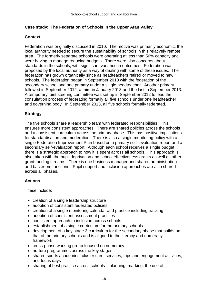#### **Case study**: **The Federation of Schools in the Upper Afan Valley**

### **Context**

Federation was originally discussed in 2010. The motive was primarily economic: the local authority needed to secure the sustainability of schools in this relatively remote area. The formerly separate schools were operating at less than 50% capacity and were having to manage reducing budgets. There were also concerns about standards in the schools, with significant variance in outcomes. Federation was proposed by the local authority as a way of dealing with some of these issues. The federation has grown organically since as headteachers retired or moved to new schools. The federation began in September 2010 with the federation of the secondary school and one primary under a single headteacher. Another primary followed in September 2012, a third in January 2013 and the last in September 2013. A temporary joint steering committee was set up in September 2012 to lead the consultation process of federating formally all five schools under one headteacher and governing body. In September 2013, all five schools formally federated.

# **Strategy**

The five schools share a leadership team with federated responsibilities. This ensures more consistent approaches. There are shared policies across the schools and a consistent curriculum across the primary phase. This has positive implications for standardisation and moderation. There is also a single monitoring policy with a single Federation Improvement Plan based on a primary self- evaluation report and a secondary self-evaluation report. Although each school receives a single budget there is a strategic approach to how it is spent across all schools. This approach is also taken with the pupil deprivation and school effectiveness grants as well as other grant funding streams. There is one business manager and shared administration and backroom functions. Pupil support and inclusion approaches are also shared across all phases.

# **Actions**

These include:

- creation of a single leadership structure
- adoption of consistent federated policies
- creation of a single monitoring calendar and practice including tracking
- adoption of consistent assessment practices
- consistent approach to inclusion across schools
- establishment of a single curriculum for the primary schools
- development of a key stage 3 curriculum for the secondary phase that builds on that of the primary schools and is aligned to the literacy and numeracy framework
- cross-phase working group focused on numeracy
- nurture programmes across the key stages
- shared sports academies, cluster carol services, trips and engagement activities, and focus days
- sharing of best practice across schools planning, marking, the use of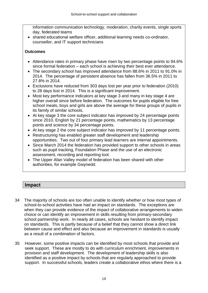information communication technology, moderation, charity events, single sports day, federated teams

 shared educational welfare officer, additional learning needs co-ordinator, counsellor, and IT support technicians

### **Outcomes**

- Attendance rates in primary phase have risen by two percentage points to 94.6% since formal federation – each school is achieving their best ever attendance.
- The secondary school has improved attendance from 88.6% in 2011 to 91.0% in 2014. The percentage of persistent absence has fallen from 36.5% in 2011 to 27.8% in 2014.
- Exclusions have reduced from 303 days lost per year prior to federation (2010) to 28 days lost in 2014. This is a significant improvement.
- Most key performance indicators at key stage 3 and many in key stage 4 are higher overall since before federation. The outcomes for pupils eligible for free school meals, boys and girls are above the average for these groups of pupils in its family of similar schools.
- At key stage 3 the core subject indicator has improved by 24 percentage points since 2010, English by 21 percentage points, mathematics by 13 percentage points and science by 34 percentage points.
- At key stage 2 the core subject indicator has improved by 11 percentage points.
- Restructuring has enabled greater staff development and leadership opportunities. Two out of four primary lead learners are internal appointments.
- Since March 2014 the federation has provided support to other schools in areas such as pupil tracking, Foundation Phase and the use of an electronic assessment, recording and reporting tool.
- The Upper Afan Valley model of federation has been shared with other authorities, for example Gwynedd.

# **Impact**

- 34 The majority of schools are too often unable to identify whether or how most types of school-to-school activities have had an impact on standards. The exceptions are when they can provide evidence of the impact of collaborative arrangements to widen choice or can identify an improvement in skills resulting from primary-secondary school partnership work. In nearly all cases, schools are hesitant to identify impact on standards. This is partly because of a belief that they cannot show a direct link between cause and effect and also because an improvement in standards is usually as a result of a combination of factors.
- 35 However, some positive impacts can be identified by most schools that provide and seek support. These are mostly to do with curriculum enrichment, improvements in provision and staff development. The development of leadership skills is also identified as a positive impact by schools that are regularly approached to provide support. In successful schools, leaders create a collaborative ethos where there is a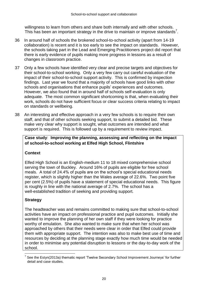willingness to learn from others and share both internally and with other schools. This has been an important strategy in the drive to maintain or improve standards<sup>7</sup>.

- 36 In around half of schools the brokered school-to-school activity (apart from 14-19 collaboration) is recent and it is too early to see the impact on standards. However, the schools taking part in the Lead and Emerging Practitioners project did report that there is early evidence of pupils making more progress in lessons as a result of changes in classroom practice.
- 37 Only a few schools have identified very clear and precise targets and objectives for their school-to-school working. Only a very few carry out careful evaluation of the impact of their school-to-school support activity. This is confirmed by inspection findings. Last year we found that a majority of schools have good links with other schools and organisations that enhance pupils' experiences and outcomes. However, we also found that in around half of schools self-evaluation is only adequate. The most common significant shortcoming is that, when evaluating their work, schools do not have sufficient focus or clear success criteria relating to impact on standards or wellbeing.
- 38 An interesting and effective approach in a very few schools is to require their own staff, and that of other schools seeking support, to submit a detailed bid. These make very clear why support is sought, what outcomes are intended and what support is required. This is followed up by a requirement to review impact.

### **Case study**: **Improving the planning, assessing and reflecting on the impact of school-to-school working at Elfed High School, Flintshire**

# **Context**

Elfed High School is an English-medium 11 to 18 mixed comprehensive school serving the town of Buckley. Around 16% of pupils are eligible for free school meals. A total of 24.4% of pupils are on the school's special educational needs register, which is slightly higher than the Wales average of 22.6%. Two point five per cent (2.5%) of pupils have a statement of special educational needs. This figure is roughly in line with the national average of 2.7%. The school has a well-established tradition of seeking and providing support.

# **Strategy**

The headteacher was and remains committed to making sure that school-to-school activities have an impact on professional practice and pupil outcomes. Initially she wanted to improve the planning of her own staff if they were looking for practice worthy of emulation. She also wanted to make sure that when her school was approached by others that their needs were clear in order that Elfed could provide them with appropriate support. The intention was also to make best use of time and resources by deciding at the planning stage exactly how much time would be needed in order to minimise any potential disruption to lessons or the day-to-day work of the school.

 $\overline{a}$  $7$  See the Estyn(2013a) thematic report 'Twelve Secondary School Improvement Journeys' for further detail and case studies.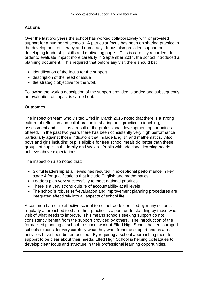# **Actions**

Over the last two years the school has worked collaboratively with or provided support for a number of schools. A particular focus has been on sharing practice in the development of literacy and numeracy. It has also provided support on developing leadership skills and motivating pupils. This is carefully recorded. In order to evaluate impact more carefully in September 2014, the school introduced a planning document. This required that before any visit there should be:

- identification of the focus for the support
- description of the need or issue
- the strategic objective for the work

Following the work a description of the support provided is added and subsequently an evaluation of impact is carried out.

# **Outcomes**

The inspection team who visited Elfed in March 2015 noted that there is a strong culture of reflection and collaboration in sharing best practice in teaching, assessment and skills as a result of the professional development opportunities offered. In the past two years there has been consistently very high performance particularly against those indicators that include English and mathematics. Also, boys and girls including pupils eligible for free school meals do better than these groups of pupils in the family and Wales. Pupils with additional learning needs achieve above expectations.

The inspection also noted that:

- Skilful leadership at all levels has resulted in exceptional performance in key stage 4 for qualifications that include English and mathematics
- Leaders plan very successfully to meet national priorities
- There is a very strong culture of accountability at all levels
- The school's robust self-evaluation and improvement planning procedures are integrated effectively into all aspects of school life

A common barrier to effective school-to-school work identified by many schools regularly approached to share their practice is a poor understanding by those who visit of what needs to improve. This means schools seeking support do not consistently benefit from the support provided by others. The introduction of the formalised planning of school-to-school work at Elfed High School has encouraged schools to consider very carefully what they want from the support and as a result activities have been better focused. By requiring a school approaching them for support to be clear about their needs, Elfed High School is helping colleagues to develop clear focus and structure in their professional learning opportunities.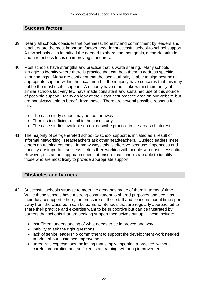# **Success factors**

- 39 Nearly all schools consider that openness, honesty and commitment by leaders and teachers are the most important factors need for successful school-to-school support. A few schools also identified the needed to share common goals, a can-do attitude and a relentless focus on improving standards.
- 40 Most schools have strengths and practice that is worth sharing. Many schools struggle to identify where there is practice that can help them to address specific shortcomings. Many are confident that the local authority is able to sign post point appropriate support within the local area but the majority have concerns that this may not be the most useful support. A minority have made links within their family of similar schools but very few have made consistent and sustained use of this source of possible support. Many do look at the Estyn best practice area on our website but are not always able to benefit from these. There are several possible reasons for this:
	- The case study school may be too far away
	- There is insufficient detail in the case study
	- The case studies available do not describe practice in the areas of interest
- 41 The majority of self-generated school-to-school support is initiated as a result of informal networking. Headteachers ask other headteachers. Subject leaders meet others on training courses. In many ways this is effective because if openness and honesty are important success factors then working with people you trust is essential. However, this ad hoc approach does not ensure that schools are able to identify those who are most likely to provide appropriate support .

# **Obstacles and barriers**

- 42 Successful schools struggle to meet the demands made of them in terms of time. While these schools have a strong commitment to shared purposes and see it as their duty to support others, the pressure on their staff and concerns about time spent away from the classroom can be barriers. Schools that are regularly approached to share their practice and expertise want to be supportive but can be frustrated by barriers that schools that are seeking support themselves put up. These include:
	- insufficient understanding of what needs to be improved and why
	- inability to ask the right questions
	- lack of senior leadership commitment to support the development work needed to bring about sustained improvement
	- unrealistic expectations, believing that simply importing a practice, without careful preparation and sufficient staff training, will bring improvement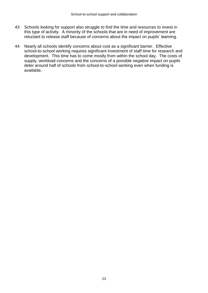- 43 Schools looking for support also struggle to find the time and resources to invest in this type of activity. A minority of the schools that are in need of improvement are reluctant to release staff because of concerns about the impact on pupils' learning.
- 44 Nearly all schools identify concerns about cost as a significant barrier. Effective school-to-school working requires significant investment of staff time for research and development. This time has to come mostly from within the school day. The costs of supply, workload concerns and the concerns of a possible negative impact on pupils deter around half of schools from school-to-school working even when funding is available.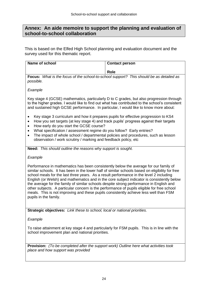# **Annex: An aide memoire to support the planning and evaluation of school-to-school collaboration**

This is based on the Elfed High School planning and evaluation document and the survey used for this thematic report.

| Name of school                                                                                                                                                                                                                                                                                                                                                                                                                                                                                                                                                                                                                                                                              | <b>Contact person</b> |  |  |
|---------------------------------------------------------------------------------------------------------------------------------------------------------------------------------------------------------------------------------------------------------------------------------------------------------------------------------------------------------------------------------------------------------------------------------------------------------------------------------------------------------------------------------------------------------------------------------------------------------------------------------------------------------------------------------------------|-----------------------|--|--|
|                                                                                                                                                                                                                                                                                                                                                                                                                                                                                                                                                                                                                                                                                             |                       |  |  |
|                                                                                                                                                                                                                                                                                                                                                                                                                                                                                                                                                                                                                                                                                             | <b>Role</b>           |  |  |
| Focus: What is the focus of the school-to-school support? This should be as detailed as<br>possible.                                                                                                                                                                                                                                                                                                                                                                                                                                                                                                                                                                                        |                       |  |  |
| Example                                                                                                                                                                                                                                                                                                                                                                                                                                                                                                                                                                                                                                                                                     |                       |  |  |
| Key stage 4 (GCSE) mathematics, particularly D to C grades, but also progression through<br>to the higher grades. I would like to find out what has contributed to the school's consistent<br>and sustained high GCSE performance. In particular, I would like to know more about:                                                                                                                                                                                                                                                                                                                                                                                                          |                       |  |  |
| Key stage 3 curriculum and how it prepares pupils for effective progression to KS4<br>٠<br>How you set targets (at key stage 4) and track pupils' progress against their targets<br>$\bullet$<br>How early do you start the GCSE course?<br>$\bullet$                                                                                                                                                                                                                                                                                                                                                                                                                                       |                       |  |  |
| What specification / assessment regime do you follow? Early entries?<br>The impact of whole school / departmental policies and procedures, such as lesson<br>observation / work scrutiny / marking and feedback policy, etc                                                                                                                                                                                                                                                                                                                                                                                                                                                                 |                       |  |  |
| Need: This should outline the reasons why support is sought.                                                                                                                                                                                                                                                                                                                                                                                                                                                                                                                                                                                                                                |                       |  |  |
| Example                                                                                                                                                                                                                                                                                                                                                                                                                                                                                                                                                                                                                                                                                     |                       |  |  |
| Performance in mathematics has been consistently below the average for our family of<br>similar schools. It has been in the lower half of similar schools based on eligibility for free<br>school meals for the last three years. As a result performance in the level 2 including<br>English (or Welsh) and mathematics and in the core subject indicator is consistently below<br>the average for the family of similar schools despite strong performance in English and<br>other subjects. A particular concern is the performance of pupils eligible for free school<br>meals. This is not improving and these pupils consistently achieve less well than FSM<br>pupils in the family. |                       |  |  |
| Strategic objectives: Link these to school, local or national priorities.                                                                                                                                                                                                                                                                                                                                                                                                                                                                                                                                                                                                                   |                       |  |  |
| Example                                                                                                                                                                                                                                                                                                                                                                                                                                                                                                                                                                                                                                                                                     |                       |  |  |
| To raise attainment at key stage 4 and particularly for FSM pupils. This is in line with the<br>school improvement plan and national priorities.                                                                                                                                                                                                                                                                                                                                                                                                                                                                                                                                            |                       |  |  |
| <b>Provision:</b> (To be completed after the support work) Outline here what activities took<br>place and how support was provided                                                                                                                                                                                                                                                                                                                                                                                                                                                                                                                                                          |                       |  |  |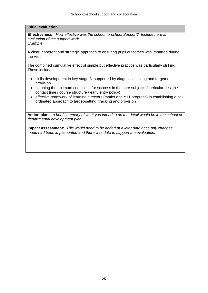#### **Initial evaluation**

**Effectiveness:** *How effective was the school-to-school Support? Include here an evaluation of the support work. Example*

A clear, coherent and strategic approach to ensuring pupil outcomes was imparted during the visit.

The combined cumulative effect of simple but effective practice was particularly striking. These included:

- skills development in key stage 3, supported by diagnostic testing and targeted provision
- planning the optimum conditions for success in the core subjects (curricular design / contact time / course structure / early entry policy)
- effective teamwork of learning directors (maths and Y11 progress) in establishing a coordinated approach to target-setting, tracking and provision

**Action plan –** *a brief summary of what you intend to do the detail would be in the school or departmental development plan*

**Impact assessment:** *This would need to be added at a later date once any changes made had been implemented and there was data to support the evaluation.*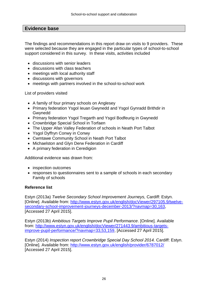# **Evidence base**

The findings and recommendations in this report draw on visits to 9 providers. These were selected because they are engaged in the particular types of school-to-school support considered in this survey. In these visits, activities included

- **.** discussions with senior leaders
- discussions with class teachers
- meetings with local authority staff
- discussions with governors
- meetings with partners involved in the school-to-school work

List of providers visited

- A family of four primary schools on Anglesey
- Primary federation Ysgol Ieuan Gwynedd and Ysgol Gynradd Brithdir in Gwynedd
- Primary federation Ysgol Tregarth and Ysgol Bodfeurig in Gwynedd
- Crownbridge Special School in Torfaen
- The Upper Afan Valley Federation of schools in Neath Port Talbot
- Ysgol Dyffryn Conwy in Conwy
- Cwmtawe Community School in Neath Port Talbot
- Michaelston and Glyn Derw Federation in Cardiff
- A primary federation in Ceredigion

Additional evidence was drawn from:

- inspection outcomes
- responses to questionnaires sent to a sample of schools in each secondary Family of schools

#### **Reference list**

Estyn (2013a) *Twelve Secondary School Improvement Journeys,* Cardiff: Estyn. [Online]. Available from: [http://www.estyn.gov.uk/english/docViewer/297105.9/twelve](http://www.estyn.gov.uk/english/docViewer/297105.9/twelve-secondary-school-improvement-journeys-december-2013/?navmap=30,163)[secondary-school-improvement-journeys-december-2013/?navmap=30,163,](http://www.estyn.gov.uk/english/docViewer/297105.9/twelve-secondary-school-improvement-journeys-december-2013/?navmap=30,163) [Accessed 27 April 2015].

Estyn (2013b) *Ambitious Targets Improve Pupil Performance*. [Online]. Available from: [http://www.estyn.gov.uk/english/docViewer/271443.9/ambitious-targets](http://www.estyn.gov.uk/english/docViewer/271443.9/ambitious-targets-improve-pupil-performance/?navmap=33,53,159)[improve-pupil-performance/?navmap=33,53,159,](http://www.estyn.gov.uk/english/docViewer/271443.9/ambitious-targets-improve-pupil-performance/?navmap=33,53,159) [Accessed 27 April 2015].

Estyn (2014) *Inspection report Crownbridge Special Day School 2014.* Cardiff: Estyn. [Online]. Available from:<http://www.estyn.gov.uk/english/provider/6787012/> [Accessed 27 April 2015].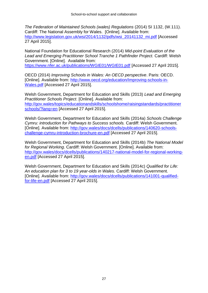*The Federation of Maintained Schools (wales) Regulations* (2014) SI 1132, (W.111). Cardiff: The National Assembly for Wales. [Online]. Available from: [http://www.legislation.gov.uk/wsi/2014/1132/pdfs/wsi\\_20141132\\_mi.pdf](http://www.legislation.gov.uk/wsi/2014/1132/pdfs/wsi_20141132_mi.pdf) [Accessed 27 April 2015].

National Foundation for Educational Research (2014) *Mid-point Evaluation of the Lead and Emerging Practitioner School Tranche 1 Pathfinder Project.* Cardiff: Welsh Government. [Online]. Available from:

<https://www.nfer.ac.uk/publications/WGIE01/WGIE01.pdf> [Accessed 27 April 2015].

OECD (2014) *Improving Schools in Wales: An OECD perspective*. Paris: OECD. [Online]. Available from: [http://www.oecd.org/education/Improving-schools-in-](http://www.oecd.org/education/Improving-schools-in-Wales.pdf)[Wales.pdf](http://www.oecd.org/education/Improving-schools-in-Wales.pdf) [Accessed 27 April 2015].

Welsh Government, Department for Education and Skills (2013) *Lead and Emerging Practitioner Schools Project*. [Online]. Available from: [http://gov.wales/topics/educationandskills/schoolshome/raisingstandards/practitioner](http://gov.wales/topics/educationandskills/schoolshome/raisingstandards/practitionerschools/?lang=en) [schools/?lang=en](http://gov.wales/topics/educationandskills/schoolshome/raisingstandards/practitionerschools/?lang=en) [Accessed 27 April 2015].

Welsh Government, Department for Education and Skills (2014a) *Schools Challenge Cymru: introduction for Pathways to Success schools.* Cardiff: Welsh Government. [Online]. Available from: [http://gov.wales/docs/dcells/publications/140620-schools](http://gov.wales/docs/dcells/publications/140620-schools-challenge-cymru-introduction-brochure-en.pdf)[challenge-cymru-introduction-brochure-en.pdf](http://gov.wales/docs/dcells/publications/140620-schools-challenge-cymru-introduction-brochure-en.pdf) [Accessed 27 April 2015].

Welsh Government, Department for Education and Skills (2014b) *The National Model for Regional Working*. Cardiff: Welsh Government. [Online]. Available from: [http://gov.wales/docs/dcells/publications/140217-national-model-for-regional-working](http://gov.wales/docs/dcells/publications/140217-national-model-for-regional-working-en.pdf)[en.pdf](http://gov.wales/docs/dcells/publications/140217-national-model-for-regional-working-en.pdf) [Accessed 27 April 2015].

Welsh Government, Department for Education and Skills (2014c) *Qualified for Life: An education plan for 3 to 19 year-olds in Wales.* Cardiff: Welsh Government. [Online]. Available from: [http://gov.wales/docs/dcells/publications/141001-qualified](http://gov.wales/docs/dcells/publications/141001-qualified-for-life-en.pdf)[for-life-en.pdf](http://gov.wales/docs/dcells/publications/141001-qualified-for-life-en.pdf) [Accessed 27 April 2015].